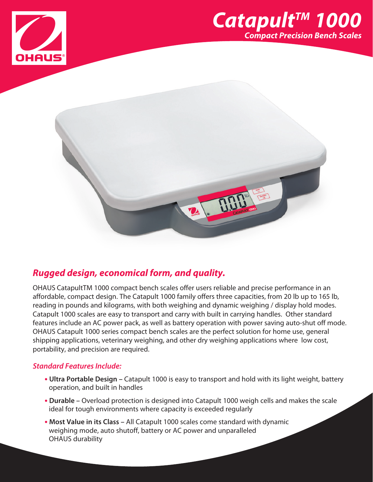





# *Rugged design, economical form, and quality.*

OHAUS CatapultTM 1000 compact bench scales offer users reliable and precise performance in an affordable, compact design. The Catapult 1000 family offers three capacities, from 20 lb up to 165 lb, reading in pounds and kilograms, with both weighing and dynamic weighing / display hold modes. Catapult 1000 scales are easy to transport and carry with built in carrying handles. Other standard features include an AC power pack, as well as battery operation with power saving auto-shut off mode. OHAUS Catapult 1000 series compact bench scales are the perfect solution for home use, general shipping applications, veterinary weighing, and other dry weighing applications where low cost, portability, and precision are required.

## *Standard Features Include:*

- **• Ultra Portable Design –** Catapult 1000 is easy to transport and hold with its light weight, battery operation, and built in handles
- **• Durable –** Overload protection is designed into Catapult 1000 weigh cells and makes the scale ideal for tough environments where capacity is exceeded regularly
- **• Most Value in its Class –** All Catapult 1000 scales come standard with dynamic weighing mode, auto shutoff, battery or AC power and unparalleled OHAUS durability